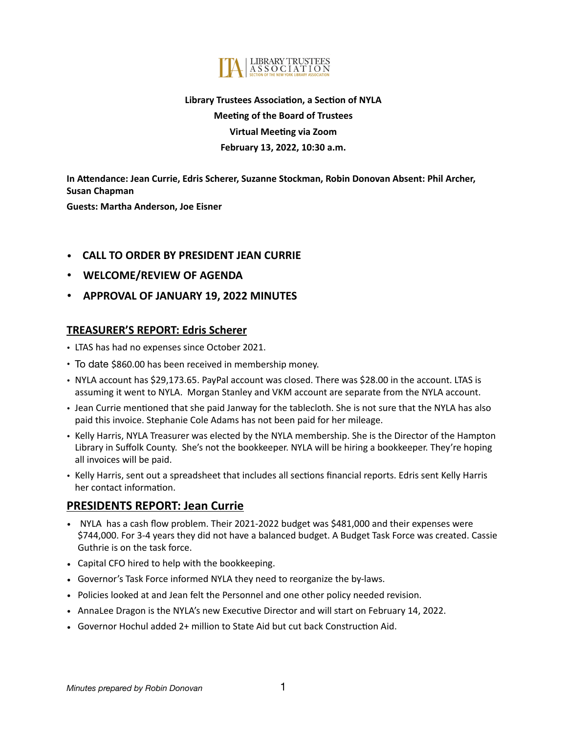

# **Library Trustees Association, a Section of NYLA Meeting of the Board of Trustees Virtual Meeting via Zoom February 13, 2022, 10:30 a.m.**

**In Attendance: Jean Currie, Edris Scherer, Suzanne Stockman, Robin Donovan Absent: Phil Archer, Susan Chapman**

**Guests: Martha Anderson, Joe Eisner**

#### • **CALL TO ORDER BY PRESIDENT JEAN CURRIE**

- **WELCOME/REVIEW OF AGENDA**
- **APPROVAL OF JANUARY 19, 2022 MINUTES**

#### **TREASURER'S REPORT: Edris Scherer**

- LTAS has had no expenses since October 2021.
- To date \$860.00 has been received in membership money.
- NYLA account has \$29,173.65. PayPal account was closed. There was \$28.00 in the account. LTAS is assuming it went to NYLA. Morgan Stanley and VKM account are separate from the NYLA account.
- Jean Currie mentioned that she paid Janway for the tablecloth. She is not sure that the NYLA has also paid this invoice. Stephanie Cole Adams has not been paid for her mileage.
- Kelly Harris, NYLA Treasurer was elected by the NYLA membership. She is the Director of the Hampton Library in Suffolk County. She's not the bookkeeper. NYLA will be hiring a bookkeeper. They're hoping all invoices will be paid.
- Kelly Harris, sent out a spreadsheet that includes all sections financial reports. Edris sent Kelly Harris her contact information.

## **PRESIDENTS REPORT: Jean Currie**

- NYLA has a cash flow problem. Their 2021-2022 budget was \$481,000 and their expenses were \$744,000. For 3-4 years they did not have a balanced budget. A Budget Task Force was created. Cassie Guthrie is on the task force.
- Capital CFO hired to help with the bookkeeping.
- Governor's Task Force informed NYLA they need to reorganize the by-laws.
- Policies looked at and Jean felt the Personnel and one other policy needed revision.
- AnnaLee Dragon is the NYLA's new Executive Director and will start on February 14, 2022.
- Governor Hochul added 2+ million to State Aid but cut back Construction Aid.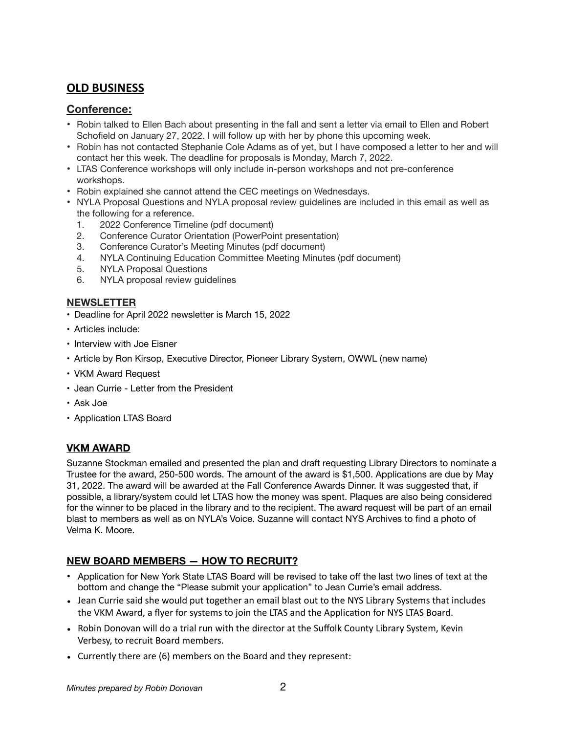## **OLD BUSINESS**

#### **Conference:**

- Robin talked to Ellen Bach about presenting in the fall and sent a letter via email to Ellen and Robert Schofield on January 27, 2022. I will follow up with her by phone this upcoming week.
- Robin has not contacted Stephanie Cole Adams as of yet, but I have composed a letter to her and will contact her this week. The deadline for proposals is Monday, March 7, 2022.
- LTAS Conference workshops will only include in-person workshops and not pre-conference workshops.
- Robin explained she cannot attend the CEC meetings on Wednesdays.
- NYLA Proposal Questions and NYLA proposal review guidelines are included in this email as well as the following for a reference.
	- 1. 2022 Conference Timeline (pdf document)
	- 2. Conference Curator Orientation (PowerPoint presentation)
	- 3. Conference Curator's Meeting Minutes (pdf document)
	- 4. NYLA Continuing Education Committee Meeting Minutes (pdf document)
	- 5. NYLA Proposal Questions
	- 6. NYLA proposal review guidelines

#### **NEWSLETTER**

- Deadline for April 2022 newsletter is March 15, 2022
- Articles include:
- Interview with Joe Eisner
- Article by Ron Kirsop, Executive Director, Pioneer Library System, OWWL (new name)
- VKM Award Request
- Jean Currie Letter from the President
- Ask Joe
- Application LTAS Board

## **VKM AWARD**

Suzanne Stockman emailed and presented the plan and draft requesting Library Directors to nominate a Trustee for the award, 250-500 words. The amount of the award is \$1,500. Applications are due by May 31, 2022. The award will be awarded at the Fall Conference Awards Dinner. It was suggested that, if possible, a library/system could let LTAS how the money was spent. Plaques are also being considered for the winner to be placed in the library and to the recipient. The award request will be part of an email blast to members as well as on NYLA's Voice. Suzanne will contact NYS Archives to find a photo of Velma K. Moore.

## **NEW BOARD MEMBERS — HOW TO RECRUIT?**

- Application for New York State LTAS Board will be revised to take off the last two lines of text at the bottom and change the "Please submit your application" to Jean Currie's email address.
- Jean Currie said she would put together an email blast out to the NYS Library Systems that includes the VKM Award, a flyer for systems to join the LTAS and the Application for NYS LTAS Board.
- Robin Donovan will do a trial run with the director at the Suffolk County Library System, Kevin Verbesy, to recruit Board members.
- Currently there are (6) members on the Board and they represent: